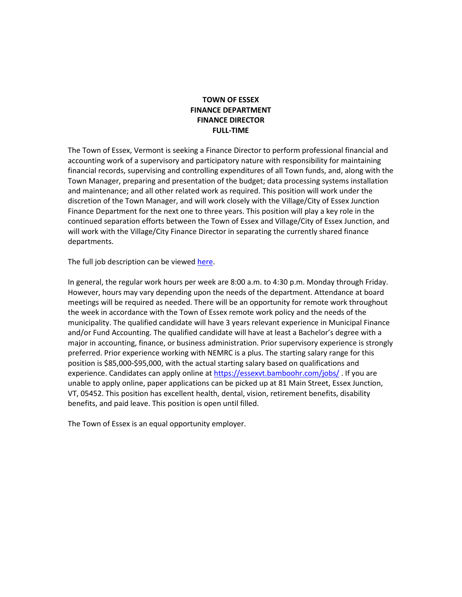#### **TOWN OF ESSEX FINANCE DEPARTMENT FINANCE DIRECTOR FULL-TIME**

The Town of Essex, Vermont is seeking a Finance Director to perform professional financial and accounting work of a supervisory and participatory nature with responsibility for maintaining financial records, supervising and controlling expenditures of all Town funds, and, along with the Town Manager, preparing and presentation of the budget; data processing systems installation and maintenance; and all other related work as required. This position will work under the discretion of the Town Manager, and will work closely with the Village/City of Essex Junction Finance Department for the next one to three years. This position will play a key role in the continued separation efforts between the Town of Essex and Village/City of Essex Junction, and will work with the Village/City Finance Director in separating the currently shared finance departments.

The full job description can be viewe[d here.](https://docs.google.com/document/d/1ADP3nY-629atox-B_KLSreXUOu4Ponfx/edit)

In general, the regular work hours per week are 8:00 a.m. to 4:30 p.m. Monday through Friday. However, hours may vary depending upon the needs of the department. Attendance at board meetings will be required as needed. There will be an opportunity for remote work throughout the week in accordance with the Town of Essex remote work policy and the needs of the municipality. The qualified candidate will have 3 years relevant experience in Municipal Finance and/or Fund Accounting. The qualified candidate will have at least a Bachelor's degree with a major in accounting, finance, or business administration. Prior supervisory experience is strongly preferred. Prior experience working with NEMRC is a plus. The starting salary range for this position is \$85,000-\$95,000, with the actual starting salary based on qualifications and experience. Candidates can apply online a[t https://essexvt.bamboohr.com/jobs/](https://essexvt.bamboohr.com/jobs/). If you are unable to apply online, paper applications can be picked up at 81 Main Street, Essex Junction, VT, 05452. This position has excellent health, dental, vision, retirement benefits, disability benefits, and paid leave. This position is open until filled.

The Town of Essex is an equal opportunity employer.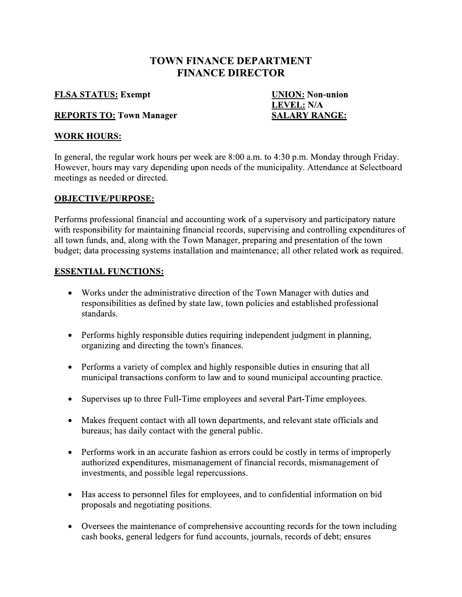# TOWN FINANCE DEPARTMENT **FINANCE DIRECTOR**

#### <u>FLSA STATUS:</u> Ex

xempt <u>UNIOI</u> **UNION:** Non-union <u>VEL:</u> N/A <u>:</u> Town Manager Manual SALARY RANGE:

#### $\frac{LEV}{2}$ <u>REPORTS TO:</u>

# <u>WORK HOURS:</u>

In general, the regular work hours per week are 8:00 a.m. to 4:30 p.m. Monday through Friday. However, hours may vary depending upon needs of the municipality. Attendance at Selectboard meetings as needed or directed.

#### i. <u>OBJECTIVE/PURPOSE:</u>

FINANCE DIRECTOR<br>
FLSA STATUS: Exempt<br>
INION: Non-union<br>
LEVEL: N/A<br>
REPORTS TO: Town Manager<br>
WORK HOURS:<br>
In general, the regular work hours per week are 8:00 a.m. to 4:30 p.m. Monday through Friday.<br>
However, hours may L. Performs professional financial and accounting work of a supervisory and participatory nature with responsibility for maintaining financial records, supervising and controlling expenditures of all town funds, and, along with the Town Manager, preparing and presentation of the town budget; data processing systems installation and maintenance; all other related work as required.

#### Ľ. <u>ESSENTIAL FUNCTIONS:</u>

- Works under the administrative direction of the Town Manager with duties and responsibilities as defined by state law, town policies and established professional standards.
- Performs highly responsible duties requiring independent judgment in planning, organizing and directing the town's finances.
- Performs a variety of complex and highly responsible duties in ensuring that all municipal transactions conform to law and to sound municipal accounting practice.
- Supervises up to three Full-Time employees and several Part-Time employees.
- Makes frequent contact with all town departments, and relevant state officials and bureaus; has daily contact with the general public.
- Performs work in an accurate fashion as errors could be costly in terms of improperly authorized expenditures, mismanagement of financial records, mismanagement of investments, and possible legal repercussions.
- Has access to personnel files for employees, and to confidential information on bid proposals and negotiating positions.
- Oversees the maintenance of comprehensive accounting records for the town including cash books, general ledgers for fund accounts, journals, records of debt; ensures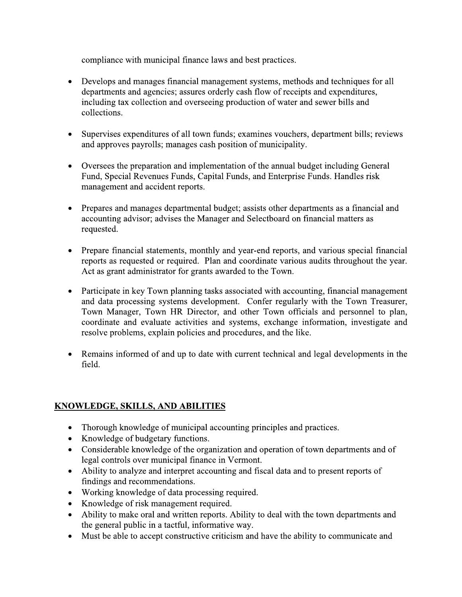compliance with municipal finance laws and best practices.

- Develops and manages financial management systems, methods and techniques for all  $\bullet$ departments and agencies; assures orderly cash flow of receipts and expenditures, including tax collection and overseeing production of water and sewer bills and collections.
- Supervises expenditures of all town funds; examines vouchers, department bills; reviews and approves payrolls; manages cash position of municipality.
- Oversees the preparation and implementation of the annual budget including General Fund, Special Revenues Funds, Capital Funds, and Enterprise Funds. Handles risk management and accident reports.
- Prepares and manages departmental budget; assists other departments as a financial and accounting advisor; advises the Manager and Selectboard on financial matters as requested.
- Prepare financial statements, monthly and year-end reports, and various special financial reports as requested or required. Plan and coordinate various audits throughout the year. Act as grant administrator for grants awarded to the Town.
- Participate in key Town planning tasks associated with accounting, financial management and data processing systems development. Confer regularly with the Town Treasurer, Town Manager, Town HR Director, and other Town officials and personnel to plan, coordinate and evaluate activities and systems, exchange information, investigate and resolve problems, explain policies and procedures, and the like.
- Remains informed of and up to date with current technical and legal developments in the field.

# **KNOWLEDGE, SKILLS, AND ABILITIES**

- Thorough knowledge of municipal accounting principles and practices.
- Knowledge of budgetary functions.
- Considerable knowledge of the organization and operation of town departments and of legal controls over municipal finance in Vermont.
- Ability to analyze and interpret accounting and fiscal data and to present reports of findings and recommendations.
- Working knowledge of data processing required.
- Knowledge of risk management required.
- Ability to make oral and written reports. Ability to deal with the town departments and the general public in a tactful, informative way.
- Must be able to accept constructive criticism and have the ability to communicate and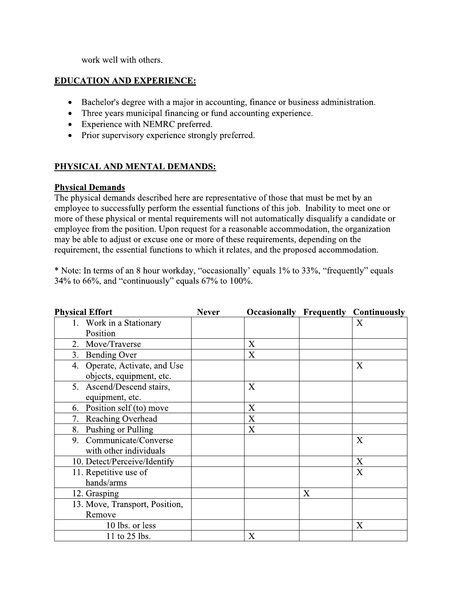work well with others.

## **EDUCATION AND EXPERIENCE:**

- Bachelor's degree with a major in accounting, finance or business administration.
- Three years municipal financing or fund accounting experience.  $\bullet$
- Experience with NEMRC preferred.
- Prior supervisory experience strongly preferred.

#### PHYSICAL AND MENTAL DEMANDS:

#### **Physical Demands**

The physical demands described here are representative of those that must be met by an employee to successfully perform the essential functions of this job. Inability to meet one or more of these physical or mental requirements will not automatically disqualify a candidate or employee from the position. Upon request for a reasonable accommodation, the organization may be able to adjust or excuse one or more of these requirements, depending on the requirement, the essential functions to which it relates, and the proposed accommodation.

\* Note: In terms of an 8 hour workday, "occasionally' equals 1% to 33%, "frequently" equals 34% to 66%, and "continuously" equals 67% to 100%.

| <b>Physical Effort</b>           | <b>Never</b> |   |   | <b>Occasionally Frequently Continuously</b> |
|----------------------------------|--------------|---|---|---------------------------------------------|
| 1. Work in a Stationary          |              |   |   | X                                           |
| Position                         |              |   |   |                                             |
| 2. Move/Traverse                 |              | X |   |                                             |
| 3. Bending Over                  |              | X |   |                                             |
| Operate, Activate, and Use<br>4. |              |   |   | X                                           |
| objects, equipment, etc.         |              |   |   |                                             |
| 5. Ascend/Descend stairs,        |              | X |   |                                             |
| equipment, etc.                  |              |   |   |                                             |
| Position self (to) move<br>6.    |              | X |   |                                             |
| Reaching Overhead<br>7.          |              | X |   |                                             |
| Pushing or Pulling<br>8.         |              | X |   |                                             |
| Communicate/Converse<br>9.       |              |   |   | X                                           |
| with other individuals           |              |   |   |                                             |
| 10. Detect/Perceive/Identify     |              |   |   | X                                           |
| 11. Repetitive use of            |              |   |   | X                                           |
| hands/arms                       |              |   |   |                                             |
| 12. Grasping                     |              |   | X |                                             |
| 13. Move, Transport, Position,   |              |   |   |                                             |
| Remove                           |              |   |   |                                             |
| 10 lbs. or less                  |              |   |   | X                                           |
| 11 to 25 lbs.                    |              | X |   |                                             |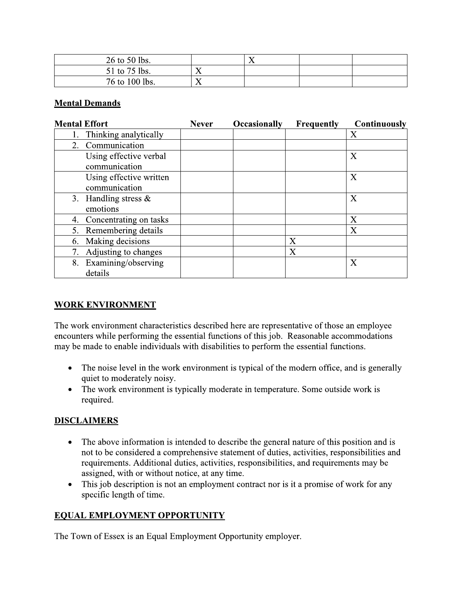| 26 to 50 lbs.  |   |  |  |
|----------------|---|--|--|
| 51 to 75 lbs.  | ∡ |  |  |
| 76 to 100 lbs. | ∡ |  |  |

## **Mental Demands**

| <b>Never</b> | <b>Occasionally</b> | Frequently | <b>Continuously</b> |
|--------------|---------------------|------------|---------------------|
|              |                     |            | X                   |
|              |                     |            |                     |
|              |                     |            | X                   |
|              |                     |            | X                   |
|              |                     |            | X                   |
|              |                     |            | X                   |
|              |                     |            | X                   |
|              |                     | Χ          |                     |
|              |                     | X          |                     |
|              |                     |            | X                   |
|              |                     |            |                     |

# **WORK ENVIRONMENT**

The work environment characteristics described here are representative of those an employee encounters while performing the essential functions of this job. Reasonable accommodations may be made to enable individuals with disabilities to perform the essential functions.

- The noise level in the work environment is typical of the modern office, and is generally  $\bullet$ quiet to moderately noisy.
- The work environment is typically moderate in temperature. Some outside work is  $\bullet$ required.

## **DISCLAIMERS**

- The above information is intended to describe the general nature of this position and is  $\bullet$ not to be considered a comprehensive statement of duties, activities, responsibilities and requirements. Additional duties, activities, responsibilities, and requirements may be assigned, with or without notice, at any time.
- This job description is not an employment contract nor is it a promise of work for any  $\bullet$ specific length of time.

# **EQUAL EMPLOYMENT OPPORTUNITY**

The Town of Essex is an Equal Employment Opportunity employer.